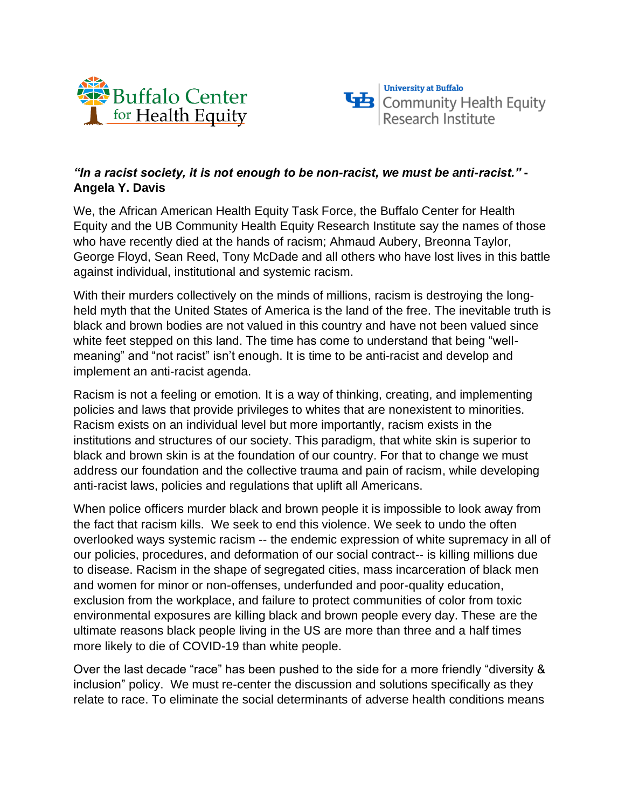



## *"In a racist society, it is not enough to be non-racist, we must be anti-racist."* **- Angela Y. Davis**

We, the African American Health Equity Task Force, the Buffalo Center for Health Equity and the UB Community Health Equity Research Institute say the names of those who have recently died at the hands of racism; Ahmaud Aubery, Breonna Taylor, George Floyd, Sean Reed, Tony McDade and all others who have lost lives in this battle against individual, institutional and systemic racism.

With their murders collectively on the minds of millions, racism is destroying the longheld myth that the United States of America is the land of the free. The inevitable truth is black and brown bodies are not valued in this country and have not been valued since white feet stepped on this land. The time has come to understand that being "wellmeaning" and "not racist" isn't enough. It is time to be anti-racist and develop and implement an anti-racist agenda.

Racism is not a feeling or emotion. It is a way of thinking, creating, and implementing policies and laws that provide privileges to whites that are nonexistent to minorities. Racism exists on an individual level but more importantly, racism exists in the institutions and structures of our society. This paradigm, that white skin is superior to black and brown skin is at the foundation of our country. For that to change we must address our foundation and the collective trauma and pain of racism, while developing anti-racist laws, policies and regulations that uplift all Americans.

When police officers murder black and brown people it is impossible to look away from the fact that racism kills. We seek to end this violence. We seek to undo the often overlooked ways systemic racism -- the endemic expression of white supremacy in all of our policies, procedures, and deformation of our social contract-- is killing millions due to disease. Racism in the shape of segregated cities, mass incarceration of black men and women for minor or non-offenses, underfunded and poor-quality education, exclusion from the workplace, and failure to protect communities of color from toxic environmental exposures are killing black and brown people every day. These are the ultimate reasons black people living in the US are more than three and a half times more likely to die of COVID-19 than white people.

Over the last decade "race" has been pushed to the side for a more friendly "diversity & inclusion" policy. We must re-center the discussion and solutions specifically as they relate to race. To eliminate the social determinants of adverse health conditions means